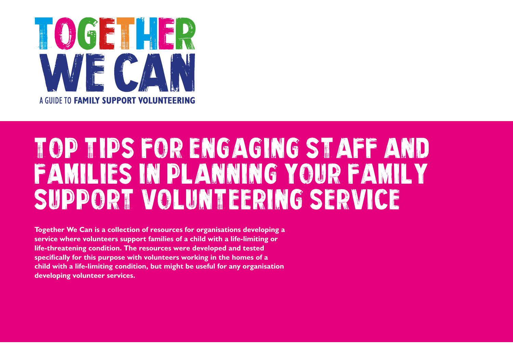

# Top Tips FOR ENGAGING STAFF AND FAMILIES IN PLANNING YOUR FAMILY SUPPORT VOLUNTEERING SERVICE

**Together We Can is a collection of resources for organisations developing a service where volunteers support families of a child with a life-limiting or life-threatening condition. The resources were developed and tested specifically for this purpose with volunteers working in the homes of a child with a life-limiting condition, but might be useful for any organisation developing volunteer services.**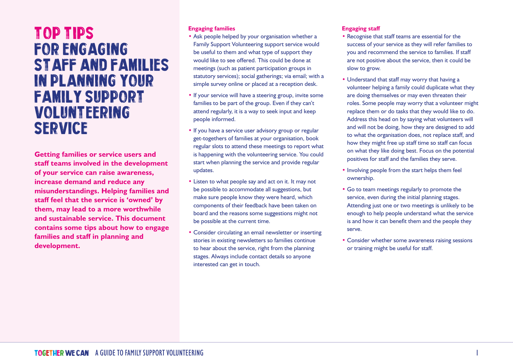## Top Tips FOR ENGAGING STAFF AND FAMILIES IN PLANNING YOUR FAMILY SUPPORT VOLUNTEERING SERVICE

**Getting families or service users and staff teams involved in the development of your service can raise awareness, increase demand and reduce any misunderstandings. Helping families and staff feel that the service is 'owned' by them, may lead to a more worthwhile and sustainable service. This document contains some tips about how to engage families and staff in planning and development.**

#### **Engaging families**

- Ask people helped by your organisation whether a Family Support Volunteering support service would be useful to them and what type of support they would like to see offered. This could be done at meetings (such as patient participation groups in statutory services); social gatherings; via email; with a simple survey online or placed at a reception desk.
- If your service will have a steering group, invite some families to be part of the group. Even if they can't attend regularly, it is a way to seek input and keep people informed.
- If you have a service user advisory group or regular get-togethers of families at your organisation, book regular slots to attend these meetings to report what is happening with the volunteering service. You could start when planning the service and provide regular updates.
- Listen to what people say and act on it. It may not be possible to accommodate all suggestions, but make sure people know they were heard, which components of their feedback have been taken on board and the reasons some suggestions might not be possible at the current time.
- Consider circulating an email newsletter or inserting stories in existing newsletters so families continue to hear about the service, right from the planning stages. Always include contact details so anyone interested can get in touch.

#### **Engaging staff**

- Recognise that staff teams are essential for the success of your service as they will refer families to you and recommend the service to families. If staff are not positive about the service, then it could be slow to grow.
- Understand that staff may worry that having a volunteer helping a family could duplicate what they are doing themselves or may even threaten their roles. Some people may worry that a volunteer might replace them or do tasks that they would like to do. Address this head on by saying what volunteers will and will not be doing, how they are designed to add to what the organisation does, not replace staff, and how they might free up staff time so staff can focus on what they like doing best. Focus on the potential positives for staff and the families they serve.
- Involving people from the start helps them feel ownership.
- Go to team meetings regularly to promote the service, even during the initial planning stages. Attending just one or two meetings is unlikely to be enough to help people understand what the service is and how it can benefit them and the people they serve.
- Consider whether some awareness raising sessions or training might be useful for staff.